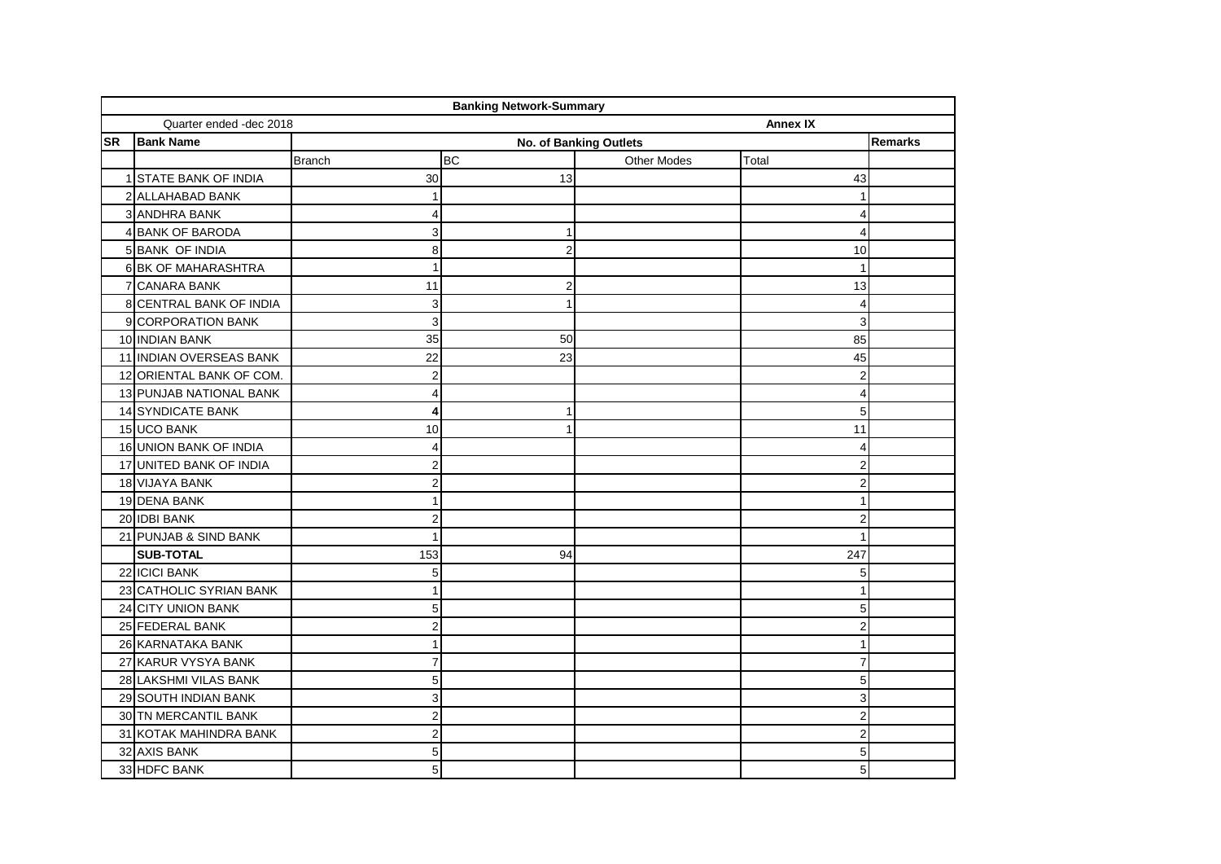|           |                          |                               | <b>Banking Network-Summary</b> |                    |                 |  |
|-----------|--------------------------|-------------------------------|--------------------------------|--------------------|-----------------|--|
|           | Quarter ended -dec 2018  |                               |                                |                    | <b>Annex IX</b> |  |
| <b>SR</b> | <b>Bank Name</b>         | <b>No. of Banking Outlets</b> |                                |                    |                 |  |
|           |                          | <b>Branch</b>                 | <b>BC</b>                      | <b>Other Modes</b> | Total           |  |
|           | 1 STATE BANK OF INDIA    | 30                            | 13                             |                    | 43              |  |
|           | 2 ALLAHABAD BANK         | $\mathbf{1}$                  |                                |                    |                 |  |
|           | 3 ANDHRA BANK            | $\overline{4}$                |                                |                    |                 |  |
|           | 4 BANK OF BARODA         | $\overline{3}$                | 1                              |                    | 4               |  |
|           | 5 BANK OF INDIA          | 8                             | $\overline{2}$                 |                    | 10              |  |
|           | 6 BK OF MAHARASHTRA      | $\mathbf{1}$                  |                                |                    |                 |  |
|           | 7 CANARA BANK            | 11                            | $\overline{2}$                 |                    | 13              |  |
|           | 8 CENTRAL BANK OF INDIA  | $\mathbf{3}$                  | 1                              |                    | Δ               |  |
|           | 9 CORPORATION BANK       | $\overline{3}$                |                                |                    | 3               |  |
|           | 10 INDIAN BANK           | 35                            | 50                             |                    | 85              |  |
|           | 11 INDIAN OVERSEAS BANK  | 22                            | 23                             |                    | 45              |  |
|           | 12 ORIENTAL BANK OF COM. | $\mathbf{2}$                  |                                |                    | 2               |  |
|           | 13 PUNJAB NATIONAL BANK  | $\overline{4}$                |                                |                    | 4               |  |
|           | 14 SYNDICATE BANK        | $\overline{\mathbf{4}}$       | 1                              |                    | 5               |  |
|           | 15 UCO BANK              | 10                            | $\mathbf{1}$                   |                    | 11              |  |
|           | 16 UNION BANK OF INDIA   | $\overline{4}$                |                                |                    | Δ               |  |
|           | 17 UNITED BANK OF INDIA  | 2                             |                                |                    | 2               |  |
|           | 18 VIJAYA BANK           | $\overline{2}$                |                                |                    | $\overline{2}$  |  |
|           | 19 DENA BANK             | $\mathbf{1}$                  |                                |                    |                 |  |
|           | 20 IDBI BANK             | $\overline{2}$                |                                |                    | 2               |  |
|           | 21 PUNJAB & SIND BANK    | $\mathbf{1}$                  |                                |                    |                 |  |
|           | <b>SUB-TOTAL</b>         | 153                           | 94                             |                    | 247             |  |
|           | 22 ICICI BANK            | 5 <sup>5</sup>                |                                |                    | 5               |  |
|           | 23 CATHOLIC SYRIAN BANK  | $\mathbf{1}$                  |                                |                    |                 |  |
|           | 24 CITY UNION BANK       | 5                             |                                |                    | 5               |  |
|           | 25 FEDERAL BANK          | $\overline{\mathbf{c}}$       |                                |                    | $\mathfrak{p}$  |  |
|           | 26 KARNATAKA BANK        | $\mathbf{1}$                  |                                |                    |                 |  |
|           | 27 KARUR VYSYA BANK      | $\boldsymbol{7}$              |                                |                    | 7               |  |
|           | 28 LAKSHMI VILAS BANK    | 5                             |                                |                    | 5               |  |
|           | 29 SOUTH INDIAN BANK     | $\overline{3}$                |                                |                    | 3               |  |
|           | 30 TN MERCANTIL BANK     | $\overline{2}$                |                                |                    | $\overline{2}$  |  |
|           | 31 KOTAK MAHINDRA BANK   | $\overline{2}$                |                                |                    | 2               |  |
|           | 32 AXIS BANK             | 5 <sup>1</sup>                |                                |                    | 5               |  |
|           | 33 HDFC BANK             | $\overline{5}$                |                                |                    | 5               |  |